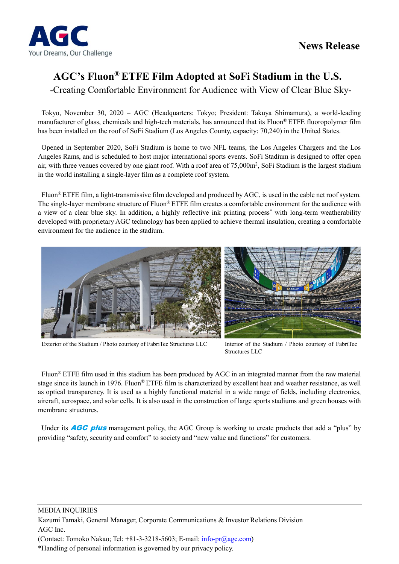

# **AGC's Fluon® ETFE Film Adopted at SoFi Stadium in the U.S.**

-Creating Comfortable Environment for Audience with View of Clear Blue Sky-

Tokyo, November 30, 2020 – AGC (Headquarters: Tokyo; President: Takuya Shimamura), a world-leading manufacturer of glass, chemicals and high-tech materials, has announced that its Fluon® ETFE fluoropolymer film has been installed on the roof of SoFi Stadium (Los Angeles County, capacity: 70,240) in the United States.

Opened in September 2020, SoFi Stadium is home to two NFL teams, the Los Angeles Chargers and the Los Angeles Rams, and is scheduled to host major international sports events. SoFi Stadium is designed to offer open air, with three venues covered by one giant roof. With a roof area of  $75,000$ m<sup>2</sup>, SoFi Stadium is the largest stadium in the world installing a single-layer film as a complete roof system.

Fluon® ETFE film, a light-transmissive film developed and produced by AGC, is used in the cable net roof system. The single-layer membrane structure of Fluon® ETFE film creates a comfortable environment for the audience with a view of a clear blue sky. In addition, a highly reflective ink printing process\* with long-term weatherability developed with proprietary AGC technology has been applied to achieve thermal insulation, creating a comfortable environment for the audience in the stadium.



Exterior of the Stadium / Photo courtesy of FabriTec Structures LLC Interior of the Stadium / Photo courtesy of FabriTec

Structures LLC

Fluon® ETFE film used in this stadium has been produced by AGC in an integrated manner from the raw material stage since its launch in 1976. Fluon® ETFE film is characterized by excellent heat and weather resistance, as well as optical transparency. It is used as a highly functional material in a wide range of fields, including electronics, aircraft, aerospace, and solar cells. It is also used in the construction of large sports stadiums and green houses with membrane structures.

Under its **AGC plus** management policy, the AGC Group is working to create products that add a "plus" by providing "safety, security and comfort" to society and "new value and functions" for customers.

\*Handling of personal information is governed by our privacy policy.